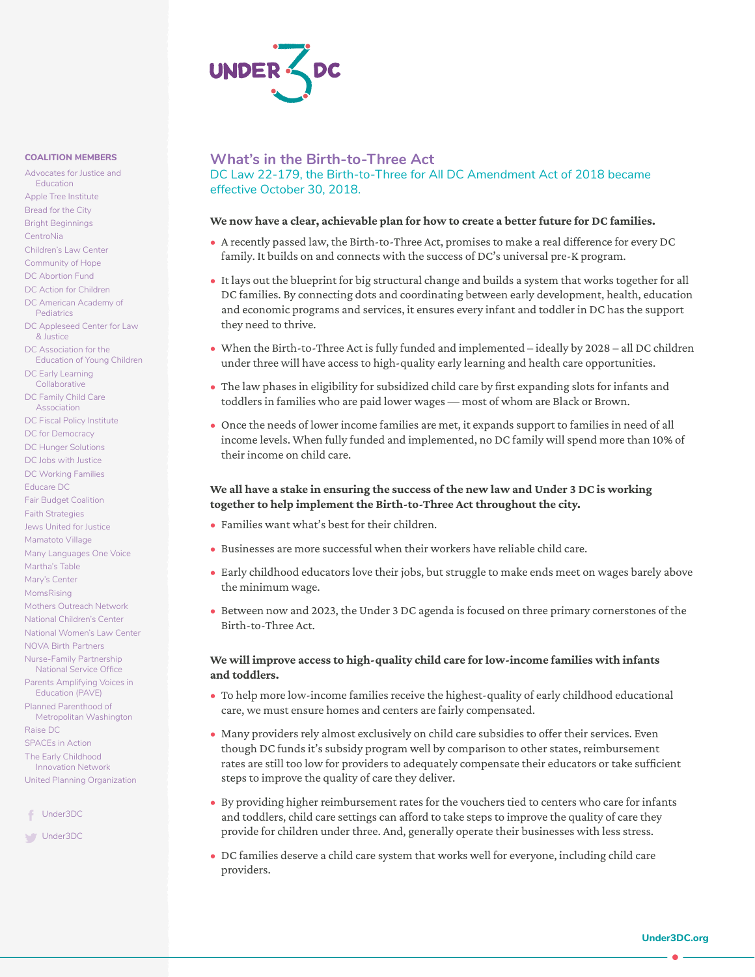

#### **COALITION MEMBERS**

Advocates for Justice and **Education** Apple Tree Institute Bread for the City Bright Beginnings **CentroNia** Children's Law Center Community of Hope DC Abortion Fund DC Action for Children DC American Academy of **Pediatrics** DC Appleseed Center for Law & Justice DC Association for the Education of Young Children DC Early Learning **Collaborative** DC Family Child Care Association DC Fiscal Policy Institute DC for Democracy DC Hunger Solutions

DC Jobs with Justice

DC Working Families Educare DC

Fair Budget Coalition

Faith Strategies

Jews United for Justice

Mamatoto Village

Many Languages One Voice

Martha's Table

Mary's Center

MomsRising

Mothers Outreach Network National Children's Center

National Women's Law Center

NOVA Birth Partners

Nurse-Family Partnership National Service Office Parents Amplifying Voices in

Education (PAVE) Planned Parenthood of

Metropolitan Washington

Raise DC SPACEs in Action

The Early Childhood Innovation Network

United Planning Organization

Under3DC

**Under3DC** 

# **What's in the Birth-to-Three Act**

DC Law 22-179, the Birth-to-Three for All DC Amendment Act of 2018 became effective October 30, 2018.

#### **We now have a clear, achievable plan for how to create a better future for DC families.**

- A recently passed law, the Birth-to-Three Act, promises to make a real difference for every DC family. It builds on and connects with the success of DC's universal pre-K program.
- It lays out the blueprint for big structural change and builds a system that works together for all DC families. By connecting dots and coordinating between early development, health, education and economic programs and services, it ensures every infant and toddler in DC has the support they need to thrive.
- When the Birth-to-Three Act is fully funded and implemented ideally by 2028 all DC children under three will have access to high-quality early learning and health care opportunities.
- The law phases in eligibility for subsidized child care by first expanding slots for infants and toddlers in families who are paid lower wages — most of whom are Black or Brown.
- Once the needs of lower income families are met, it expands support to families in need of all income levels. When fully funded and implemented, no DC family will spend more than 10% of their income on child care.

# **We all have a stake in ensuring the success of the new law and Under 3 DC is working together to help implement the Birth-to-Three Act throughout the city.**

- Families want what's best for their children.
- Businesses are more successful when their workers have reliable child care.
- Early childhood educators love their jobs, but struggle to make ends meet on wages barely above the minimum wage.
- Between now and 2023, the Under 3 DC agenda is focused on three primary cornerstones of the Birth-to-Three Act.

# **We will improve access to high-quality child care for low-income families with infants and toddlers.**

- To help more low-income families receive the highest-quality of early childhood educational care, we must ensure homes and centers are fairly compensated.
- Many providers rely almost exclusively on child care subsidies to offer their services. Even though DC funds it's subsidy program well by comparison to other states, reimbursement rates are still too low for providers to adequately compensate their educators or take sufficient steps to improve the quality of care they deliver.
- By providing higher reimbursement rates for the vouchers tied to centers who care for infants and toddlers, child care settings can afford to take steps to improve the quality of care they provide for children under three. And, generally operate their businesses with less stress.
- DC families deserve a child care system that works well for everyone, including child care providers.